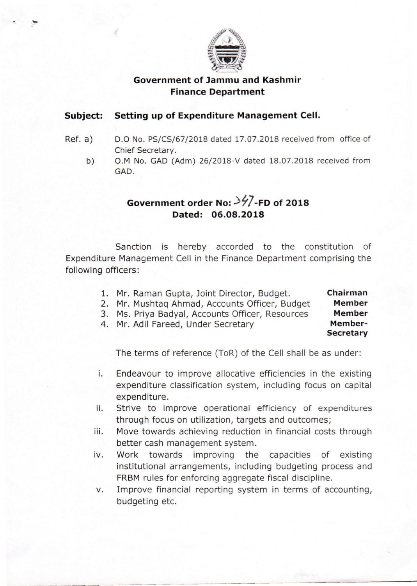

## **Government of Jammu and Kashmir Finance Department**

#### **Subject: Setting up of Expenditure Management Cell.**

- Ref. a) D.O No. PS/CS/67/2018 dated 17.07.2018 received from office of Chief Secretary.
	- b) O.M No. GAD (Adm) 26/2018-V dated 18.07.2018 received from GAD.

# Government order No:  $\frac{3}{7}$ -FD of 2018 **Dated: 06.08.2018**

Sanction is hereby accorded to the constitution of Expenditure Management Cell in the Finance Department comprising the following officers:

1. Mr. Raman Gupta, Joint Director, Budget. 2. Mr. Mushtaq Ahmad, Accounts Officer, Budget 3. Ms. Priya Badyal, Accounts Officer, Resources 4. Mr. Adil Fareed, Under Secretary **Chairman Member Member Member-Secretary** 

The terms of reference (ToR) of the Cell shall be as under:

- i. Endeavour to improve allocative efficiencies in the existing expenditure classification system, including focus on capital expenditure.
- ii. Strive to improve operational efficiency of expenditures through focus on utilization, targets and outcomes;
- iii. Move towards achieving reduction in financial costs through better cash management system.
- iv. Work towards improving the capacities of existing institutional arrangements, including budgeting process and FRBM rules for enforcing aggregate fiscal discipline.
- v. Improve financial reporting system in terms of accounting, budgeting etc.